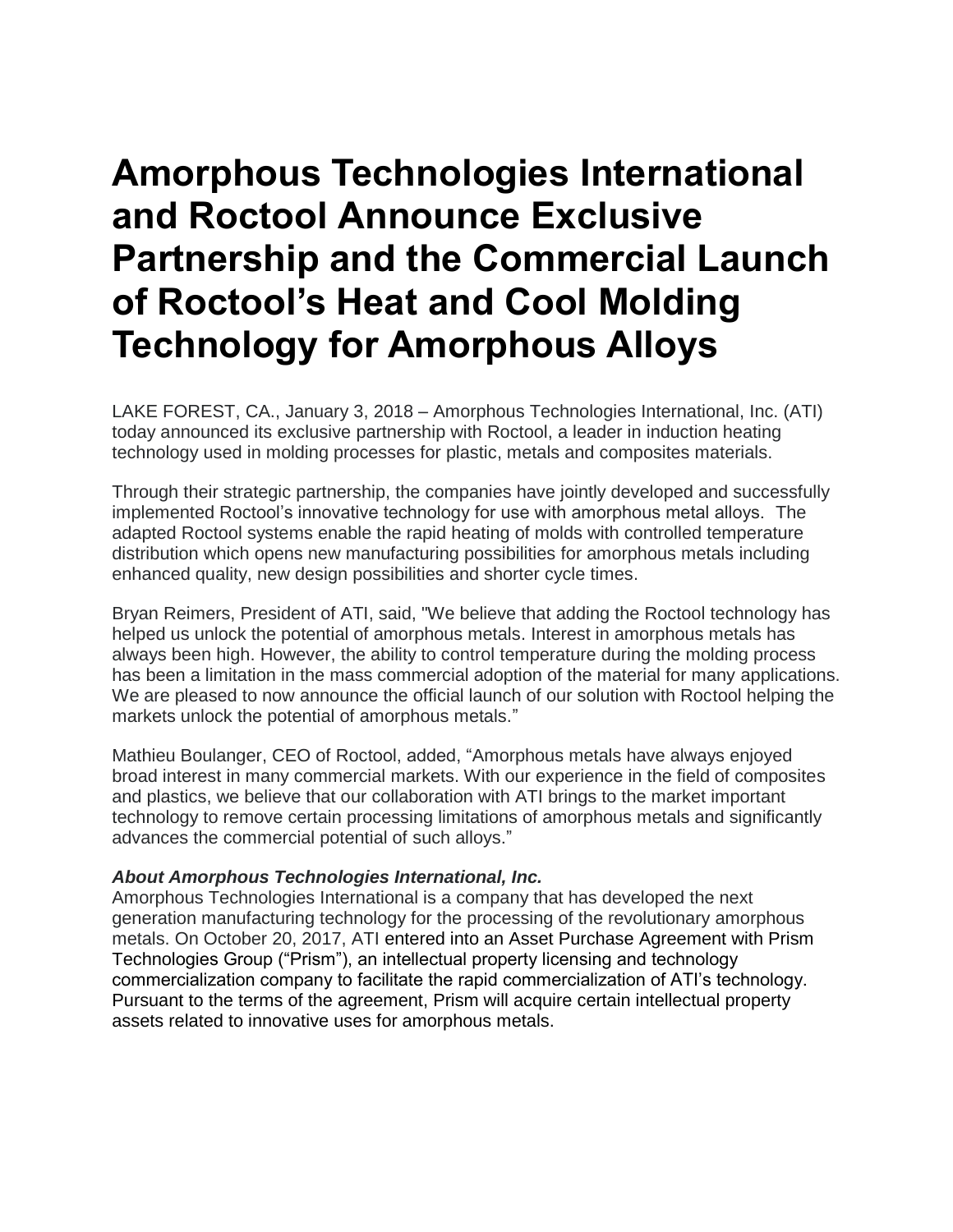## **Amorphous Technologies International and Roctool Announce Exclusive Partnership and the Commercial Launch of Roctool's Heat and Cool Molding Technology for Amorphous Alloys**

LAKE FOREST, CA., January 3, 2018 – Amorphous Technologies International, Inc. (ATI) today announced its exclusive partnership with Roctool, a leader in induction heating technology used in molding processes for plastic, metals and composites materials.

Through their strategic partnership, the companies have jointly developed and successfully implemented Roctool's innovative technology for use with amorphous metal alloys. The adapted Roctool systems enable the rapid heating of molds with controlled temperature distribution which opens new manufacturing possibilities for amorphous metals including enhanced quality, new design possibilities and shorter cycle times.

Bryan Reimers, President of ATI, said, "We believe that adding the Roctool technology has helped us unlock the potential of amorphous metals. Interest in amorphous metals has always been high. However, the ability to control temperature during the molding process has been a limitation in the mass commercial adoption of the material for many applications. We are pleased to now announce the official launch of our solution with Roctool helping the markets unlock the potential of amorphous metals."

Mathieu Boulanger, CEO of Roctool, added, "Amorphous metals have always enjoyed broad interest in many commercial markets. With our experience in the field of composites and plastics, we believe that our collaboration with ATI brings to the market important technology to remove certain processing limitations of amorphous metals and significantly advances the commercial potential of such alloys."

## *About Amorphous Technologies International, Inc.*

Amorphous Technologies International is a company that has developed the next generation manufacturing technology for the processing of the revolutionary amorphous metals. On October 20, 2017, ATI entered into an Asset Purchase Agreement with Prism Technologies Group ("Prism"), an intellectual property licensing and technology commercialization company to facilitate the rapid commercialization of ATI's technology. Pursuant to the terms of the agreement, Prism will acquire certain intellectual property assets related to innovative uses for amorphous metals.